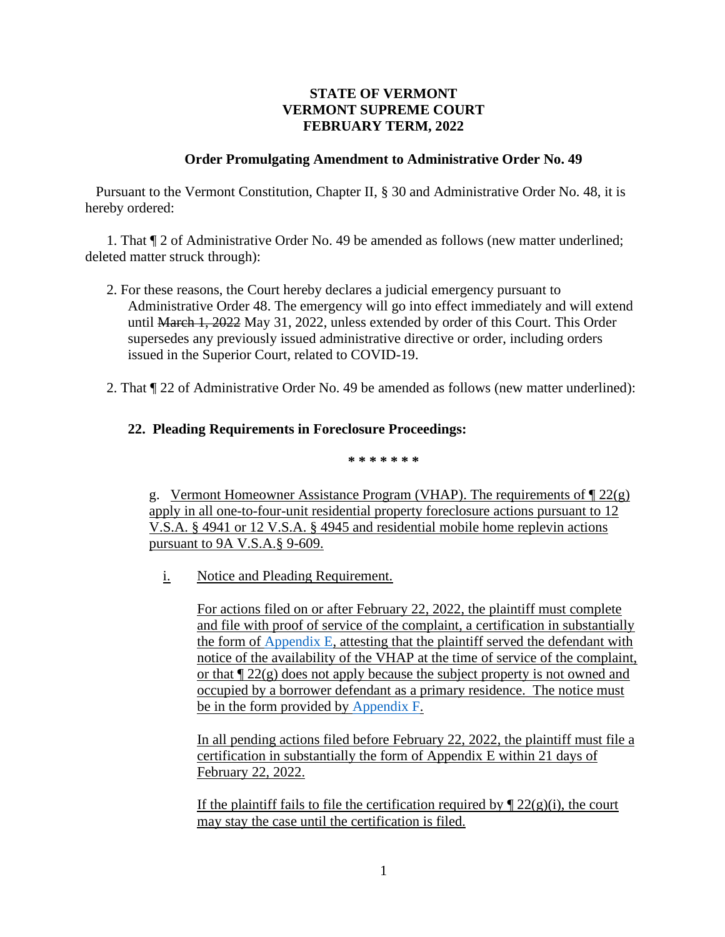## **STATE OF VERMONT VERMONT SUPREME COURT FEBRUARY TERM, 2022**

## **Order Promulgating Amendment to Administrative Order No. 49**

Pursuant to the Vermont Constitution, Chapter II, § 30 and Administrative Order No. 48, it is hereby ordered:

1. That ¶ 2 of Administrative Order No. 49 be amended as follows (new matter underlined; deleted matter struck through):

- 2. For these reasons, the Court hereby declares a judicial emergency pursuant to Administrative Order 48. The emergency will go into effect immediately and will extend until March 1, 2022 May 31, 2022, unless extended by order of this Court. This Order supersedes any previously issued administrative directive or order, including orders issued in the Superior Court, related to COVID-19.
- 2. That ¶ 22 of Administrative Order No. 49 be amended as follows (new matter underlined):

## **22. Pleading Requirements in Foreclosure Proceedings:**

**\* \* \* \* \* \* \***

g. Vermont Homeowner Assistance Program (VHAP). The requirements of  $\P$  22(g) apply in all one-to-four-unit residential property foreclosure actions pursuant to 12 V.S.A. § 4941 or 12 V.S.A. § 4945 and residential mobile home replevin actions pursuant to 9A V.S.A.§ 9-609.

i. Notice and Pleading Requirement.

For actions filed on or after February 22, 2022, the plaintiff must complete and file with proof of service of the complaint, a certification in substantially the form of [Appendix E,](https://www.vermontjudiciary.org/sites/default/files/documents/APPENDIX-E-Certification-of-Compliance-with-or-Exemption-from-AO49-22g.pdf) attesting that the plaintiff served the defendant with notice of the availability of the VHAP at the time of service of the complaint, or that  $\sqrt{\frac{22(g)}{g}}$  does not apply because the subject property is not owned and occupied by a borrower defendant as a primary residence. The notice must be in the form provided by [Appendix F.](https://www.vermontjudiciary.org/sites/default/files/documents/APPENDIX-F-Notice-to-Homeowner-re_VHAP.pdf)

In all pending actions filed before February 22, 2022, the plaintiff must file a certification in substantially the form of Appendix E within 21 days of February 22, 2022.

If the plaintiff fails to file the certification required by  $\P$  22(g)(i), the court may stay the case until the certification is filed.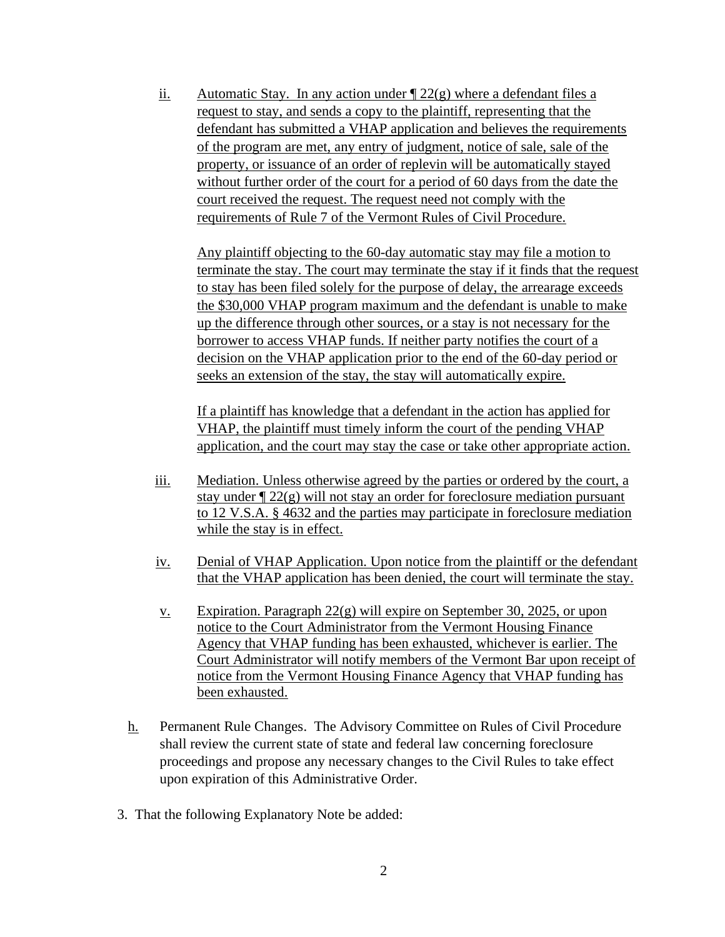ii. Automatic Stay. In any action under  $\sqrt{22(g)}$  where a defendant files a request to stay, and sends a copy to the plaintiff, representing that the defendant has submitted a VHAP application and believes the requirements of the program are met, any entry of judgment, notice of sale, sale of the property, or issuance of an order of replevin will be automatically stayed without further order of the court for a period of 60 days from the date the court received the request. The request need not comply with the requirements of Rule 7 of the Vermont Rules of Civil Procedure.

Any plaintiff objecting to the 60-day automatic stay may file a motion to terminate the stay. The court may terminate the stay if it finds that the request to stay has been filed solely for the purpose of delay, the arrearage exceeds the \$30,000 VHAP program maximum and the defendant is unable to make up the difference through other sources, or a stay is not necessary for the borrower to access VHAP funds. If neither party notifies the court of a decision on the VHAP application prior to the end of the 60-day period or seeks an extension of the stay, the stay will automatically expire.

If a plaintiff has knowledge that a defendant in the action has applied for VHAP, the plaintiff must timely inform the court of the pending VHAP application, and the court may stay the case or take other appropriate action.

- iii. Mediation. Unless otherwise agreed by the parties or ordered by the court, a stay under  $\sqrt{22(g)}$  will not stay an order for foreclosure mediation pursuant to 12 V.S.A. § 4632 and the parties may participate in foreclosure mediation while the stay is in effect.
- iv. Denial of VHAP Application. Upon notice from the plaintiff or the defendant that the VHAP application has been denied, the court will terminate the stay.
- <u>v.</u> Expiration. Paragraph  $22(g)$  will expire on September 30, 2025, or upon notice to the Court Administrator from the Vermont Housing Finance Agency that VHAP funding has been exhausted, whichever is earlier. The Court Administrator will notify members of the Vermont Bar upon receipt of notice from the Vermont Housing Finance Agency that VHAP funding has been exhausted.
- h. Permanent Rule Changes. The Advisory Committee on Rules of Civil Procedure shall review the current state of state and federal law concerning foreclosure proceedings and propose any necessary changes to the Civil Rules to take effect upon expiration of this Administrative Order.
- 3.That the following Explanatory Note be added: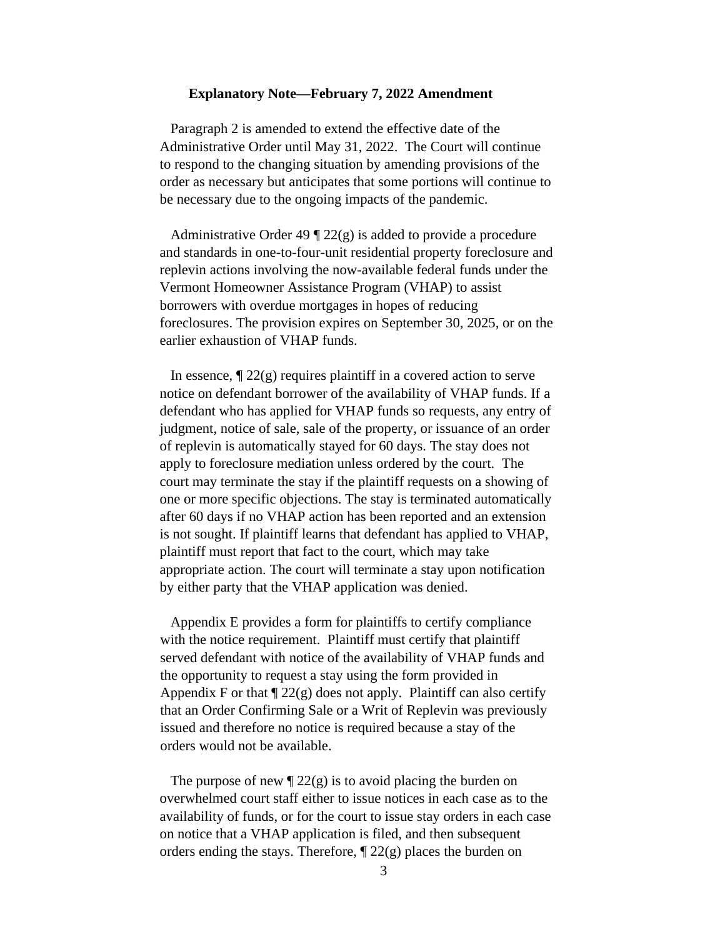## **Explanatory Note—February 7, 2022 Amendment**

Paragraph 2 is amended to extend the effective date of the Administrative Order until May 31, 2022. The Court will continue to respond to the changing situation by amending provisions of the order as necessary but anticipates that some portions will continue to be necessary due to the ongoing impacts of the pandemic.

Administrative Order 49  $\sqrt{22}$  (g) is added to provide a procedure and standards in one-to-four-unit residential property foreclosure and replevin actions involving the now-available federal funds under the Vermont Homeowner Assistance Program (VHAP) to assist borrowers with overdue mortgages in hopes of reducing foreclosures. The provision expires on September 30, 2025, or on the earlier exhaustion of VHAP funds.

In essence,  $\sqrt{22(g)}$  requires plaintiff in a covered action to serve notice on defendant borrower of the availability of VHAP funds. If a defendant who has applied for VHAP funds so requests, any entry of judgment, notice of sale, sale of the property, or issuance of an order of replevin is automatically stayed for 60 days. The stay does not apply to foreclosure mediation unless ordered by the court. The court may terminate the stay if the plaintiff requests on a showing of one or more specific objections. The stay is terminated automatically after 60 days if no VHAP action has been reported and an extension is not sought. If plaintiff learns that defendant has applied to VHAP, plaintiff must report that fact to the court, which may take appropriate action. The court will terminate a stay upon notification by either party that the VHAP application was denied.

Appendix E provides a form for plaintiffs to certify compliance with the notice requirement. Plaintiff must certify that plaintiff served defendant with notice of the availability of VHAP funds and the opportunity to request a stay using the form provided in Appendix F or that  $\sqrt{22(g)}$  does not apply. Plaintiff can also certify that an Order Confirming Sale or a Writ of Replevin was previously issued and therefore no notice is required because a stay of the orders would not be available.

The purpose of new  $\sqrt{22(g)}$  is to avoid placing the burden on overwhelmed court staff either to issue notices in each case as to the availability of funds, or for the court to issue stay orders in each case on notice that a VHAP application is filed, and then subsequent orders ending the stays. Therefore,  $\parallel$  22(g) places the burden on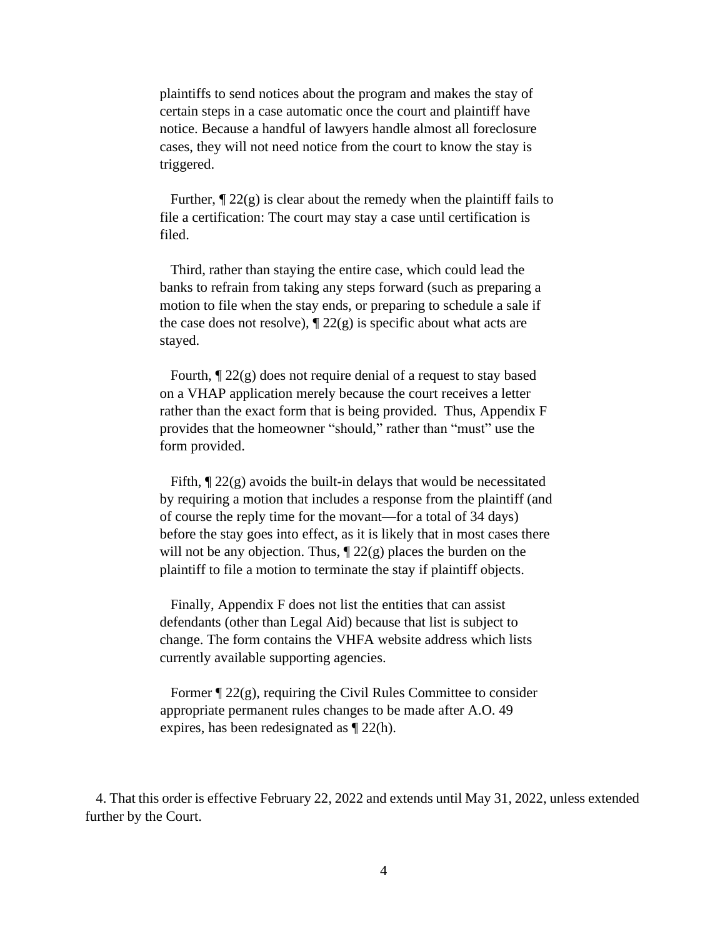plaintiffs to send notices about the program and makes the stay of certain steps in a case automatic once the court and plaintiff have notice. Because a handful of lawyers handle almost all foreclosure cases, they will not need notice from the court to know the stay is triggered.

Further,  $\P$  22(g) is clear about the remedy when the plaintiff fails to file a certification: The court may stay a case until certification is filed.

Third, rather than staying the entire case, which could lead the banks to refrain from taking any steps forward (such as preparing a motion to file when the stay ends, or preparing to schedule a sale if the case does not resolve),  $\mathbb{I}$  22(g) is specific about what acts are stayed.

Fourth, ¶ 22(g) does not require denial of a request to stay based on a VHAP application merely because the court receives a letter rather than the exact form that is being provided. Thus, Appendix F provides that the homeowner "should," rather than "must" use the form provided.

Fifth,  $\sqrt{\frac{22(g)}{g}}$  avoids the built-in delays that would be necessitated by requiring a motion that includes a response from the plaintiff (and of course the reply time for the movant—for a total of 34 days) before the stay goes into effect, as it is likely that in most cases there will not be any objection. Thus,  $\P$  22(g) places the burden on the plaintiff to file a motion to terminate the stay if plaintiff objects.

Finally, Appendix F does not list the entities that can assist defendants (other than Legal Aid) because that list is subject to change. The form contains the VHFA website address which lists currently available supporting agencies.

Former  $\mathcal{P}$  22(g), requiring the Civil Rules Committee to consider appropriate permanent rules changes to be made after A.O. 49 expires, has been redesignated as ¶ 22(h).

4. That this order is effective February 22, 2022 and extends until May 31, 2022, unless extended further by the Court.